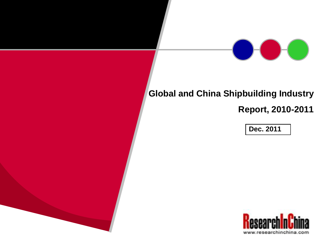# **Global and China Shipbuilding Industry**

**Report, 2010-2011**

**Dec. 2011**

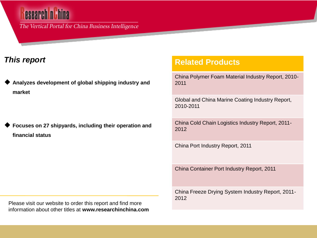The Vertical Portal for China Business Intelligence

### *This report*

 **Analyzes development of global shipping industry and market** 

| ◆ Focuses on 27 shipyards, including their operation and |
|----------------------------------------------------------|
| financial status                                         |

Please visit our website to order this report and find more information about other titles at **www.researchinchina.com**

#### **Related Products**

China Polymer Foam Material Industry Report, 2010- 2011

Global and China Marine Coating Industry Report, 2010-2011

China Cold Chain Logistics Industry Report, 2011- 2012

China Port Industry Report, 2011

China Container Port Industry Report, 2011

China Freeze Drying System Industry Report, 2011- 2012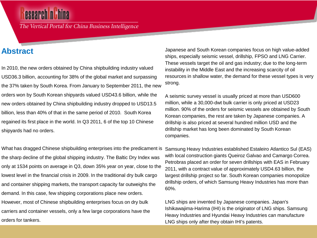### esearch n Th

The Vertical Portal for China Business Intelligence

### **Abstract**

In 2010, the new orders obtained by China shipbuilding industry valued USD36.3 billion, accounting for 38% of the global market and surpassing the 37% taken by South Korea. From January to September 2011, the new orders won by South Korean shipyards valued USD43.6 billion, while the new orders obtained by China shipbuilding industry dropped to USD13.5 billion, less than 40% of that in the same period of 2010. South Korea regained its first place in the world. In Q3 2011, 6 of the top 10 Chinese shipyards had no orders.

What has dragged Chinese shipbuilding enterprises into the predicament is the sharp decline of the global shipping industry. The Baltic Dry Index was only at 1534 points on average in Q3, down 35% year on year, close to the lowest level in the financial crisis in 2009. In the traditional dry bulk cargo and container shipping markets, the transport capacity far outweighs the demand. In this case, few shipping corporations place new orders. However, most of Chinese shipbuilding enterprises focus on dry bulk carriers and container vessels, only a few large corporations have the orders for tankers.

Japanese and South Korean companies focus on high value-added ships, especially seismic vessel, drillship, FPSO and LNG Carrier. These vessels target the oil and gas industry; due to the long-term instability in the Middle East and the increasing scarcity of oil resources in shallow water, the demand for these vessel types is very strong.

A seismic survey vessel is usually priced at more than USD600 million, while a 30,000-dwt bulk carrier is only priced at USD23 million. 90% of the orders for seismic vessels are obtained by South Korean companies, the rest are taken by Japanese companies. A drillship is also priced at several hundred million USD and the drillship market has long been dominated by South Korean companies.

Samsung Heavy Industries established Estaleiro Atlantico Sul (EAS) with local construction giants Queiroz Galvao and Camargo Correa. Petrobras placed an order for seven drillships with EAS in February 2011, with a contract value of approximately USD4.63 billion, the largest drillship project so far. South Korean companies monopolize drillship orders, of which Samsung Heavy Industries has more than 60%.

LNG ships are invented by Japanese companies. Japan's Ishikawajima-Harima (IHI) is the originator of LNG ships. Samsung Heavy Industries and Hyundai Heavy Industries can manufacture LNG ships only after they obtain IHI's patents.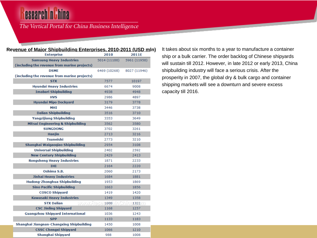## **esearch n Lhina**

#### The Vertical Portal for China Business Intelligence

#### **Revenue of Major Shipbuilding Enterprises, 2010-2011 (USD mln)** It takes about six months to a year to manufacture a container

| יושותו וש שתונשו<br><u>spananng Entorphood</u><br><b>Enterprise</b> | <u>.</u><br>2010 | -<br>2011E               |
|---------------------------------------------------------------------|------------------|--------------------------|
| <b>Samsung Heavy Industries</b>                                     | 5014 (11100)     | 5961 (11950)             |
| (including the revenue from marine projects)                        |                  |                          |
| <b>DSME</b>                                                         | 6469 (10268)     | 8027 (11946)             |
| (including the revenue from marine projects)                        |                  |                          |
| <b>STX</b>                                                          | 7577             | 10197                    |
| <b>Hyundai Heavy Industries</b>                                     | 6674             | 9008                     |
| <b>Imabari Shipbuilding</b>                                         | 4938             | 4948                     |
| <b>HVS</b>                                                          | 2986             | 4897                     |
| <b>Hyundai Mipo Dockyard</b>                                        | 3179             | 3778                     |
| <b>MHI</b>                                                          | 3446             | 3738                     |
| <b>Dalian Shipbuilding</b>                                          | 3516             | 3710                     |
| <b>Yangzijiang Shipbuilding</b>                                     | 3353             | 3649                     |
| <b>Mitsui Engineering &amp; Shipbuilding</b>                        | 3562             | 3580                     |
| <b>SUNGDONG</b>                                                     | 3702             | 3261                     |
| <b>Hanjin</b>                                                       | 2713             | 3216                     |
| <b>Tsuneishi</b>                                                    | 2773             | 3210                     |
| Shanghai Waigaoqiao Shipbuilding                                    | 2954             | 3108                     |
| <b>Universal Shipbuilding</b>                                       | 2402             | 2592                     |
| <b>New Century Shipbuilding</b>                                     | 2429             | 2413                     |
| <b>Rongsheng Heavy Industries</b>                                   | 1871             | 2233                     |
| <b>THT</b>                                                          | 2164             | 2220                     |
| Oshima S.B.                                                         | 2060             | 2173                     |
| <b>Jinhai Heavy Industries</b>                                      | 1684             | 1881                     |
| Hudong-Zhonghua Shipbuilding                                        | 1953             | 1869                     |
| <b>Sino Pacific Shipbuilding</b>                                    | 1663             | 1856                     |
| <b>COSCO Shipyard</b>                                               | 1419             | 1420                     |
| <b>Kawasaki Heavy Industries</b>                                    | 1349             | 1358                     |
| <b>STX Dalian</b><br>www.Rese                                       |                  | $1008$    $0$    $1322/$ |
| <b>CSC Jinling Shipyard</b>                                         | 1168             | 1257                     |
| <b>Guangzhou Shipyard International</b>                             | 1036             | 1243                     |
| <b>SPP</b>                                                          | 1133             | 1183                     |
| Shanghai Jiangnan-Changxing Shipbuilding                            | 1450             | 1008                     |
| <b>CSSC Chengxi Shipyard</b>                                        | 1066             | 1210                     |
| Shanghai Shipyard                                                   | 988              | 1008                     |

ship or a bulk carrier. The order backlog of Chinese shipyards will sustain till 2012. However, in late 2012 or early 2013, China shipbuilding industry will face a serious crisis. After the prosperity in 2007, the global dry & bulk cargo and container shipping markets will see a downturn and severe excess capacity till 2016.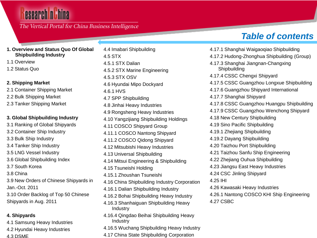#### The Vertical Portal for China Business Intelligence

#### **1. Overview and Status Quo Of Global Shipbuilding Industry**

- 1.1 Overview
- 1.2 Status Quo

#### **2. Shipping Market**

2.1 Container Shipping Market 2.2 Bulk Shipping Market 2.3 Tanker Shipping Market

#### **3. Global Shipbuilding Industry**

- 3.1 Ranking of Global Shipyards 3.2 Container Ship Industry 3.3 Bulk Ship Industry
- 3.4 Tanker Ship Industry
- 3.5 LNG Vessel Industry
- 3.6 Global Shipbuilding Index
- 3.7 South Korea
- 3.8 China
- 3.9 New Orders of Chinese Shipyards in Jan.-Oct. 2011
- 3.10 Order Backlog of Top 50 Chinese Shipyards in Aug. 2011

#### **4. Shipyards**

4.1 Samsung Heavy Industries 4.2 Hyundai Heavy Industries 4.3 DSME

- 4.4 Imabari Shipbuilding 4.5 STX 4.5.1 STX Dalian 4.5.2 STX Marine Engineering 4.5.3 STX OSV 4.6 Hyundai Mipo Dockyard 4.6.1 HVS 4.7 SPP Shipbuilding 4.8 Jinhai Heavy Industries 4.9 Rongsheng Heavy Industries 4.10 Yangzijiang Shipbuilding Holdings 4.11 COSCO Shipyard Group 4.11.1 COSCO Nantong Shipyard 4.11.2 COSCO Qidong Shipyard 4.12 Mitsubishi Heavy Industries 4.13 Universal Shipbuilding 4.14 Mitsui Engineering & Shipbuilding 4.15 Tsuneishi Holding 4.15.1 Zhoushan Tsuneishi 4.16 China Shipbuilding Industry Corporation 4.16.1 Dalian Shipbuilding Industry 4.16.2 Bohai Shipbuilding Heavy Industry 4.16.3 Shanhaiguan Shipbuilding Heavy Industry 4.16.4 Qingdao Beihai Shipbuilding Heavy Industry 4.16.5 Wuchang Shipbuilding Heavy Industry
- 4.17 China State Shipbuilding Corporation

### *Table of contents*

4.17.1 Shanghai Waigaoqiao Shipbuilding 4.17.2 Hudong-Zhonghua Shipbuilding (Group) 4.17.3 Shanghai Jiangnan-Changxing Shipbuilding 4.17.4 CSSC Chengxi Shipyard 4.17.5 CSSC Guangzhou Longxue Shipbuilding 4.17.6 Guangzhou Shipyard International 4.17.7 Shanghai Shipyard 4.17.8 CSSC Guangzhou Huangpu Shipbuilding 4.17.9 CSSC Guangzhou Wenchong Shipyard 4.18 New Century Shipbuilding 4.19 Sino Pacific Shipbuilding 4.19.1 Zhejiang Shipbuilding 4.19.2 Dayang Shipbuilding 4.20 Taizhou Port Shipbuilding 4.21 Taizhou Sanfu Ship Engineering 4.22 Zhejiang Ouhua Shipbuilding 4.23 Jiangsu East Heavy Industries 4.24 CSC Jinling Shipyard 4.25 IHI 4.26 Kawasaki Heavy Industries 4.26.1 Nantong COSCO KHI Ship Engineering 4.27 CSBC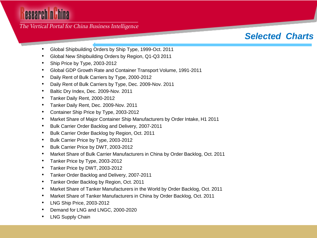The Vertical Portal for China Business Intelligence

- Global Shipbuilding Orders by Ship Type, 1999-Oct. 2011
- Global New Shipbuilding Orders by Region, Q1-Q3 2011
- Ship Price by Type, 2003-2012
- Global GDP Growth Rate and Container Transport Volume, 1991-2011
- Daily Rent of Bulk Carriers by Type, 2000-2012
- Daily Rent of Bulk Carriers by Type, Dec. 2009-Nov. 2011
- Baltic Dry Index, Dec. 2009-Nov. 2011
- Tanker Daily Rent, 2000-2012
- Tanker Daily Rent, Dec. 2009-Nov. 2011
- Container Ship Price by Type, 2003-2012
- Market Share of Major Container Ship Manufacturers by Order Intake, H1 2011
- Bulk Carrier Order Backlog and Delivery, 2007-2011
- Bulk Carrier Order Backlog by Region, Oct. 2011
- Bulk Carrier Price by Type, 2003-2012
- Bulk Carrier Price by DWT, 2003-2012
- Market Share of Bulk Carrier Manufacturers in China by Order Backlog, Oct. 2011
- Tanker Price by Type, 2003-2012
- Tanker Price by DWT, 2003-2012
- Tanker Order Backlog and Delivery, 2007-2011
- Tanker Order Backlog by Region, Oct. 2011
- Market Share of Tanker Manufacturers in the World by Order Backlog, Oct. 2011
- Market Share of Tanker Manufacturers in China by Order Backlog, Oct. 2011
- LNG Ship Price, 2003-2012
- Demand for LNG and LNGC, 2000-2020
- LNG Supply Chain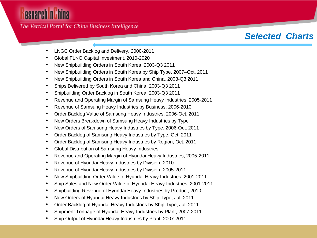The Vertical Portal for China Business Intelligence

- LNGC Order Backlog and Delivery, 2000-2011
- Global FLNG Capital Investment, 2010-2020
- New Shipbuilding Orders in South Korea, 2003-Q3 2011
- New Shipbuilding Orders in South Korea by Ship Type, 2007–Oct. 2011
- New Shipbuilding Orders in South Korea and China, 2003-Q3 2011
- Ships Delivered by South Korea and China, 2003-Q3 2011
- Shipbuilding Order Backlog in South Korea, 2003-Q3 2011
- Revenue and Operating Margin of Samsung Heavy Industries, 2005-2011
- Revenue of Samsung Heavy Industries by Business, 2006-2010
- Order Backlog Value of Samsung Heavy Industries, 2006-Oct. 2011
- New Orders Breakdown of Samsung Heavy Industries by Type
- New Orders of Samsung Heavy Industries by Type, 2006-Oct. 2011
- Order Backlog of Samsung Heavy Industries by Type, Oct. 2011
- Order Backlog of Samsung Heavy Industries by Region, Oct. 2011
- Global Distribution of Samsung Heavy Industries
- Revenue and Operating Margin of Hyundai Heavy Industries, 2005-2011
- Revenue of Hyundai Heavy Industries by Division, 2010
- Revenue of Hyundai Heavy Industries by Division, 2005-2011
- New Shipbuilding Order Value of Hyundai Heavy Industries, 2001-2011
- Ship Sales and New Order Value of Hyundai Heavy Industries, 2001-2011
- Shipbuilding Revenue of Hyundai Heavy Industries by Product, 2010
- New Orders of Hyundai Heavy Industries by Ship Type, Jul. 2011
- Order Backlog of Hyundai Heavy Industries by Ship Type, Jul. 2011
- Shipment Tonnage of Hyundai Heavy Industries by Plant, 2007-2011
- Ship Output of Hyundai Heavy Industries by Plant, 2007-2011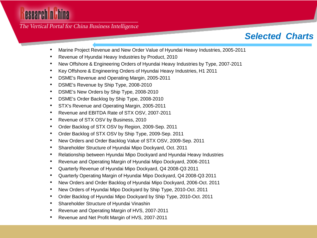The Vertical Portal for China Business Intelligence

- Marine Project Revenue and New Order Value of Hyundai Heavy Industries, 2005-2011
- Revenue of Hyundai Heavy Industries by Product, 2010
- New Offshore & Engineering Orders of Hyundai Heavy Industries by Type, 2007-2011
- Key Offshore & Engineering Orders of Hyundai Heavy Industries, H1 2011
- DSME's Revenue and Operating Margin, 2005-2011
- DSME's Revenue by Ship Type, 2008-2010
- DSME's New Orders by Ship Type, 2008-2010
- DSME's Order Backlog by Ship Type, 2008-2010
- STX's Revenue and Operating Margin, 2005-2011
- Revenue and EBITDA Rate of STX OSV, 2007-2011
- Revenue of STX OSV by Business, 2010
- Order Backlog of STX OSV by Region, 2009-Sep. 2011
- Order Backlog of STX OSV by Ship Type, 2009-Sep. 2011
- New Orders and Order Backlog Value of STX OSV, 2009-Sep. 2011
- Shareholder Structure of Hyundai Mipo Dockyard, Oct. 2011
- Relationship between Hyundai Mipo Dockyard and Hyundai Heavy Industries
- Revenue and Operating Margin of Hyundai Mipo Dockyard, 2006-2011
- Quarterly Revenue of Hyundai Mipo Dockyard, Q4 2008-Q3 2011
- Quarterly Operating Margin of Hyundai Mipo Dockyard, Q4 2008-Q3 2011
- New Orders and Order Backlog of Hyundai Mipo Dockyard, 2006-Oct. 2011
- New Orders of Hyundai Mipo Dockyard by Ship Type, 2010-Oct. 2011
- Order Backlog of Hyundai Mipo Dockyard by Ship Type, 2010-Oct. 2011
- Shareholder Structure of Hyundai Vinashin
- Revenue and Operating Margin of HVS, 2007-2011
- Revenue and Net Profit Margin of HVS, 2007-2011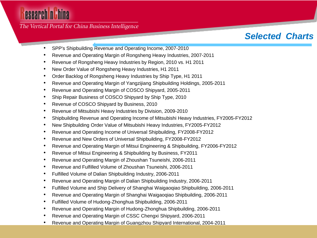The Vertical Portal for China Business Intelligence

- SPP's Shipbuilding Revenue and Operating Income, 2007-2010
- Revenue and Operating Margin of Rongsheng Heavy Industries, 2007-2011
- Revenue of Rongsheng Heavy Industries by Region, 2010 vs. H1 2011
- New Order Value of Rongsheng Heavy Industries, H1 2011
- Order Backlog of Rongsheng Heavy Industries by Ship Type, H1 2011
- Revenue and Operating Margin of Yangzijiang Shipbuilding Holdings, 2005-2011
- Revenue and Operating Margin of COSCO Shipyard, 2005-2011
- Ship Repair Business of COSCO Shipyard by Ship Type, 2010
- Revenue of COSCO Shipyard by Business, 2010
- Revenue of Mitsubishi Heavy Industries by Division, 2009-2010
- Shipbuilding Revenue and Operating Income of Mitsubishi Heavy Industries, FY2005-FY2012
- New Shipbuilding Order Value of Mitsubishi Heavy Industries, FY2005-FY2012
- Revenue and Operating Income of Universal Shipbuilding, FY2008-FY2012
- Revenue and New Orders of Universal Shipbuilding, FY2008-FY2012
- Revenue and Operating Margin of Mitsui Engineering & Shipbuilding, FY2006-FY2012
- Revenue of Mitsui Engineering & Shipbuilding by Business, FY2011
- Revenue and Operating Margin of Zhoushan Tsuneishi, 2006-2011
- Revenue and Fulfilled Volume of Zhoushan Tsuneishi, 2006-2011
- Fulfilled Volume of Dalian Shipbuilding Industry, 2006-2011
- Revenue and Operating Margin of Dalian Shipbuilding Industry, 2006-2011
- Fulfilled Volume and Ship Delivery of Shanghai Waigaoqiao Shipbuilding, 2006-2011
- Revenue and Operating Margin of Shanghai Waigaoqiao Shipbuilding, 2006-2011
- Fulfilled Volume of Hudong-Zhonghua Shipbuilding, 2006-2011
- Revenue and Operating Margin of Hudong-Zhonghua Shipbuilding, 2006-2011
- Revenue and Operating Margin of CSSC Chengxi Shipyard, 2006-2011
- Revenue and Operating Margin of Guangzhou Shipyard International, 2004-2011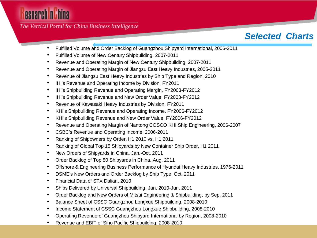The Vertical Portal for China Business Intelligence

- Fulfilled Volume and Order Backlog of Guangzhou Shipyard International, 2006-2011
- Fulfilled Volume of New Century Shipbuilding, 2007-2011
- Revenue and Operating Margin of New Century Shipbuilding, 2007-2011
- Revenue and Operating Margin of Jiangsu East Heavy Industries, 2005-2011
- Revenue of Jiangsu East Heavy Industries by Ship Type and Region, 2010
- IHI's Revenue and Operating Income by Division, FY2011
- IHI's Shipbuilding Revenue and Operating Margin, FY2003-FY2012
- IHI's Shipbuilding Revenue and New Order Value, FY2003-FY2012
- Revenue of Kawasaki Heavy Industries by Division, FY2011
- KHI's Shipbuilding Revenue and Operating Income, FY2006-FY2012
- KHI's Shipbuilding Revenue and New Order Value, FY2006-FY2012
- Revenue and Operating Margin of Nantong COSCO KHI Ship Engineering, 2006-2007
- CSBC's Revenue and Operating Income, 2006-2011
- Ranking of Shipowners by Order, H1 2010 vs. H1 2011
- Ranking of Global Top 15 Shipyards by New Container Ship Order, H1 2011
- New Orders of Shipyards in China, Jan.-Oct. 2011
- Order Backlog of Top 50 Shipyards in China, Aug. 2011
- Offshore & Engineering Business Performance of Hyundai Heavy Industries, 1976-2011
- DSME's New Orders and Order Backlog by Ship Type, Oct. 2011
- Financial Data of STX Dalian, 2010
- Ships Delivered by Universal Shipbuilding, Jan. 2010-Jun. 2011
- Order Backlog and New Orders of Mitsui Engineering & Shipbuilding, by Sep. 2011
- Balance Sheet of CSSC Guangzhou Longxue Shipbuilding, 2008-2010
- Income Statement of CSSC Guangzhou Longxue Shipbuilding, 2008-2010
- Operating Revenue of Guangzhou Shipyard International by Region, 2008-2010
- Revenue and EBIT of Sino Pacific Shipbuilding, 2008-2010